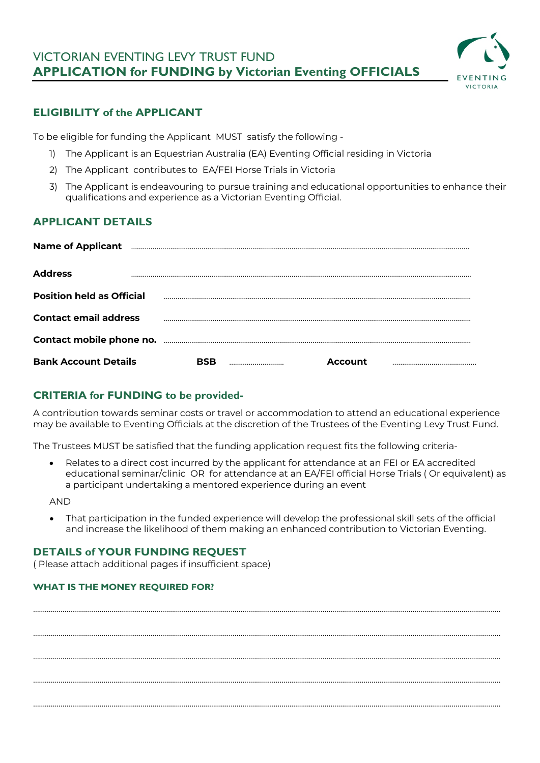# VICTORIAN EVENTING LEVY TRUST FUND **APPLICATION for FUNDING by Victorian Eventing OFFICIALS**



## **ELIGIBILITY of the APPLICANT**

To be eligible for funding the Applicant MUST satisfy the following -

- 1) The Applicant is an Equestrian Australia (EA) Eventing Official residing in Victoria
- 2) The Applicant contributes to EA/FEI Horse Trials in Victoria
- 3) The Applicant is endeavouring to pursue training and educational opportunities to enhance their qualifications and experience as a Victorian Eventing Official.

## **APPLICANT DETAILS**

| <b>Name of Applicant</b>         |  |         |  |
|----------------------------------|--|---------|--|
| <b>Address</b>                   |  |         |  |
| <b>Position held as Official</b> |  |         |  |
| <b>Contact email address</b>     |  |         |  |
|                                  |  |         |  |
| <b>Bank Account Details</b>      |  | Account |  |

## **CRITERIA for FUNDING to be provided-**

A contribution towards seminar costs or travel or accommodation to attend an educational experience may be available to Eventing Officials at the discretion of the Trustees of the Eventing Levy Trust Fund.

The Trustees MUST be satisfied that the funding application request fits the following criteria-

• Relates to a direct cost incurred by the applicant for attendance at an FEI or EA accredited educational seminar/clinic OR for attendance at an EA/FEI official Horse Trials ( Or equivalent) as a participant undertaking a mentored experience during an event

AND

• That participation in the funded experience will develop the professional skill sets of the official and increase the likelihood of them making an enhanced contribution to Victorian Eventing.

………………………………………………………………………………………………………………………………………………………………………………………………..…………………

………………………………………………………………………………………………………………………………………………………………………………………………..…………………

………………………………………………………………………………………………………………………………………………………………………………………………..…………………

………………………………………………………………………………………………………………………………………………………………………………………………..…………………

………………………………………………………………………………………………………………………………………………………………………………………………..…………………

## **DETAILS of YOUR FUNDING REQUEST**

( Please attach additional pages if insufficient space)

### **WHAT IS THE MONEY REQUIRED FOR?**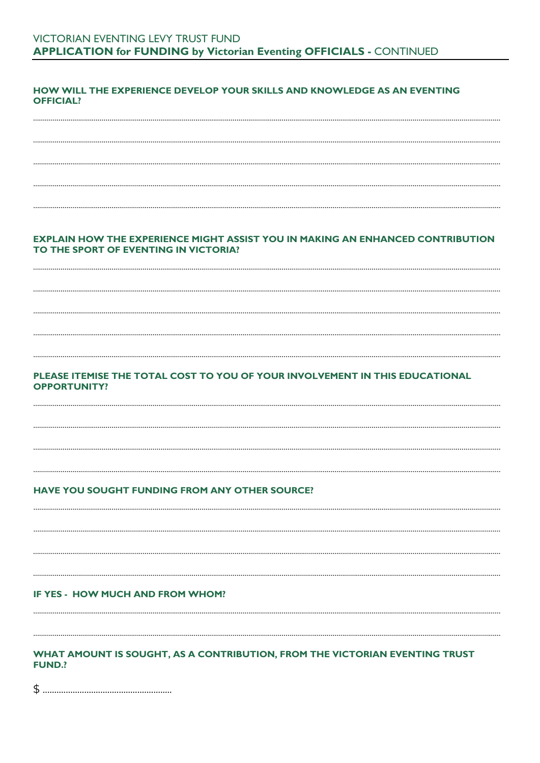### HOW WILL THE EXPERIENCE DEVELOP YOUR SKILLS AND KNOWLEDGE AS AN EVENTING **OFFICIAL?**

#### **EXPLAIN HOW THE EXPERIENCE MIGHT ASSIST YOU IN MAKING AN ENHANCED CONTRIBUTION** TO THE SPORT OF EVENTING IN VICTORIA?

### PLEASE ITEMISE THE TOTAL COST TO YOU OF YOUR INVOLVEMENT IN THIS EDUCATIONAL **OPPORTUNITY?**

#### HAVE YOU SOUGHT FUNDING FROM ANY OTHER SOURCE?

IF YES - HOW MUCH AND FROM WHOM?

#### WHAT AMOUNT IS SOUGHT, AS A CONTRIBUTION, FROM THE VICTORIAN EVENTING TRUST **FUND?**